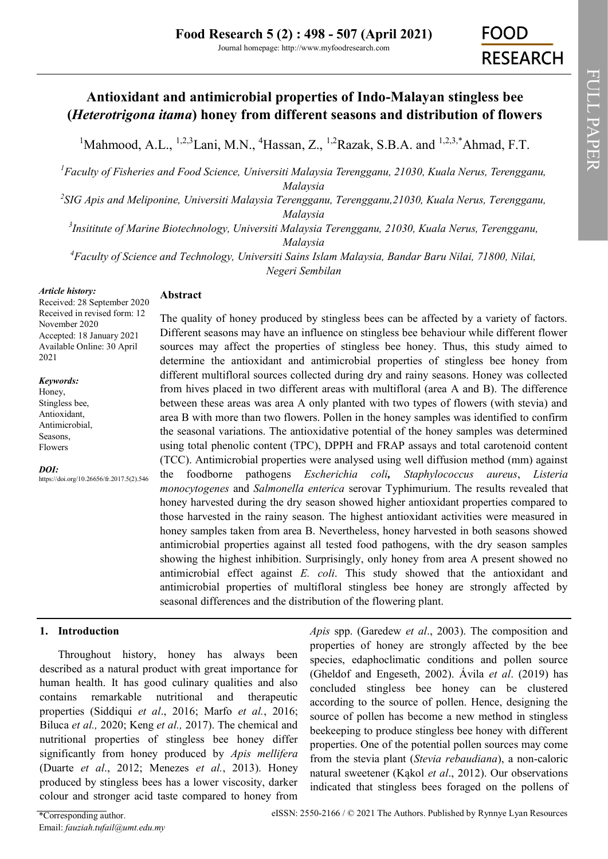# **Antioxidant and antimicrobial properties of Indo-Malayan stingless bee (***Heterotrigona itama***) honey from different seasons and distribution of flowers**

<sup>1</sup>Mahmood, A.L., <sup>1,2,3</sup>[Lani, M.N.,](https://orcid.org/0000-0002-3643-7242) <sup>4</sup>[Hassan, Z.,](https://orcid.org/0000-0002-4009-5193) <sup>1,2</sup>[Razak, S.B.A.](https://orcid.org/0000-0001-6386-2968) and <sup>1,2,3,\*</sup>[Ahmad, F.T.](https://orcid.org/0000-0003-4717-3294)

*<sup>1</sup>Faculty of Fisheries and Food Science, Universiti Malaysia Terengganu, 21030, Kuala Nerus, Terengganu, Malaysia*

*2 SIG Apis and Meliponine, Universiti Malaysia Terengganu, Terengganu,21030, Kuala Nerus, Terengganu, Malaysia*

*3 Insititute of Marine Biotechnology, Universiti Malaysia Terengganu, 21030, Kuala Nerus, Terengganu, Malaysia* 

*<sup>4</sup>Faculty of Science and Technology, Universiti Sains Islam Malaysia, Bandar Baru Nilai, 71800, Nilai, Negeri Sembilan*

#### *Article history:*

### **Abstract**

Received: 28 September 2020 Received in revised form: 12 November 2020 Accepted: 18 January 2021 Available Online: 30 April 2021

#### *Keywords:*

Honey, Stingless bee, Antioxidant, Antimicrobial, Seasons, Flowers

*DOI:*

https://doi.org/10.26656/fr.2017.5(2).546

The quality of honey produced by stingless bees can be affected by a variety of factors. Different seasons may have an influence on stingless bee behaviour while different flower sources may affect the properties of stingless bee honey. Thus, this study aimed to determine the antioxidant and antimicrobial properties of stingless bee honey from different multifloral sources collected during dry and rainy seasons. Honey was collected from hives placed in two different areas with multifloral (area A and B). The difference between these areas was area A only planted with two types of flowers (with stevia) and area B with more than two flowers. Pollen in the honey samples was identified to confirm the seasonal variations. The antioxidative potential of the honey samples was determined using total phenolic content (TPC), DPPH and FRAP assays and total carotenoid content (TCC). Antimicrobial properties were analysed using well diffusion method (mm) against the foodborne pathogens *Escherichia coli, Staphylococcus aureus*, *Listeria monocytogenes* and *Salmonella enterica* serovar Typhimurium. The results revealed that honey harvested during the dry season showed higher antioxidant properties compared to those harvested in the rainy season. The highest antioxidant activities were measured in honey samples taken from area B. Nevertheless, honey harvested in both seasons showed antimicrobial properties against all tested food pathogens, with the dry season samples showing the highest inhibition. Surprisingly, only honey from area A present showed no antimicrobial effect against *E. coli*. This study showed that the antioxidant and antimicrobial properties of multifloral stingless bee honey are strongly affected by seasonal differences and the distribution of the flowering plant.

### **1. Introduction**

Throughout history, honey has always been described as a natural product with great importance for human health. It has good culinary qualities and also contains remarkable nutritional and therapeutic properties (Siddiqui *et al*., 2016; Marfo *et al.*, 2016; Biluca *et al.,* 2020; Keng *et al.,* 2017). The chemical and nutritional properties of stingless bee honey differ significantly from honey produced by *Apis mellifera* (Duarte *et al*., 2012; Menezes *et al.*, 2013). Honey produced by stingless bees has a lower viscosity, darker colour and stronger acid taste compared to honey from

*Apis* spp. (Garedew *et al*., 2003). The composition and properties of honey are strongly affected by the bee species, edaphoclimatic conditions and pollen source (Gheldof and Engeseth, 2002). Ávila *et al*. (2019) has concluded stingless bee honey can be clustered according to the source of pollen. Hence, designing the source of pollen has become a new method in stingless beekeeping to produce stingless bee honey with different properties. One of the potential pollen sources may come from the stevia plant (*Stevia rebaudiana*), a non-caloric natural sweetener (Kąkol *et al*., 2012). Our observations indicated that stingless bees foraged on the pollens of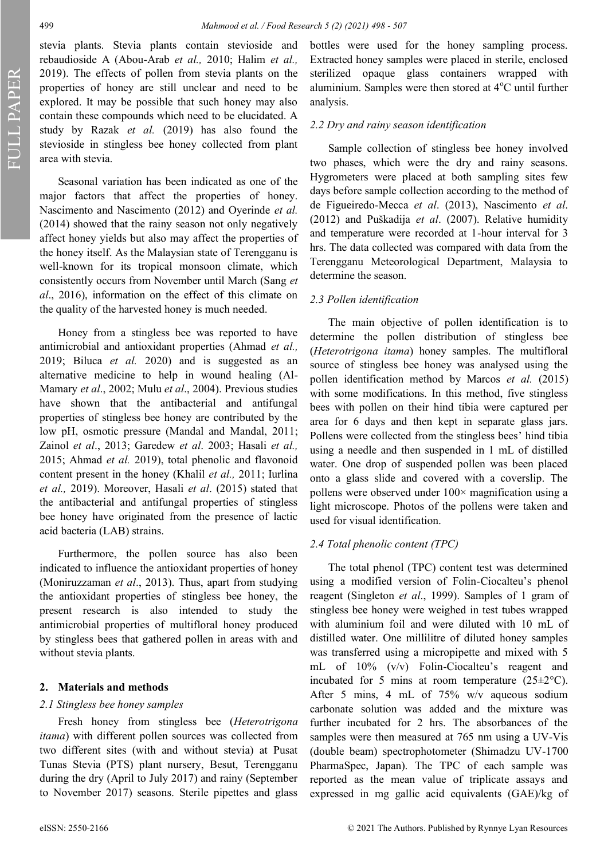FULL PAPER

stevia plants. Stevia plants contain stevioside and rebaudioside A (Abou-Arab *et al.,* 2010; Halim *et al.,*  2019). The effects of pollen from stevia plants on the properties of honey are still unclear and need to be explored. It may be possible that such honey may also contain these compounds which need to be elucidated. A study by Razak *et al.* (2019) has also found the stevioside in stingless bee honey collected from plant area with stevia.

Seasonal variation has been indicated as one of the major factors that affect the properties of honey. Nascimento and Nascimento (2012) and Oyerinde *et al.*  (2014) showed that the rainy season not only negatively affect honey yields but also may affect the properties of the honey itself. As the Malaysian state of Terengganu is well-known for its tropical monsoon climate, which consistently occurs from November until March (Sang *et al*., 2016), information on the effect of this climate on the quality of the harvested honey is much needed.

Honey from a stingless bee was reported to have antimicrobial and antioxidant properties (Ahmad *et al.,* 2019; Biluca *et al.* 2020) and is suggested as an alternative medicine to help in wound healing (Al-Mamary *et al*., 2002; Mulu *et al*., 2004). Previous studies have shown that the antibacterial and antifungal properties of stingless bee honey are contributed by the low pH, osmotic pressure (Mandal and Mandal, 2011; Zainol *et al*., 2013; Garedew *et al*. 2003; Hasali *et al.,*  2015; Ahmad *et al.* 2019), total phenolic and flavonoid content present in the honey (Khalil *et al.,* 2011; Iurlina *et al.,* 2019). Moreover, Hasali *et al*. (2015) stated that the antibacterial and antifungal properties of stingless bee honey have originated from the presence of lactic acid bacteria (LAB) strains.

Furthermore, the pollen source has also been indicated to influence the antioxidant properties of honey (Moniruzzaman *et al*., 2013). Thus, apart from studying the antioxidant properties of stingless bee honey, the present research is also intended to study the antimicrobial properties of multifloral honey produced by stingless bees that gathered pollen in areas with and without stevia plants.

#### **2. Materials and methods**

#### *2.1 Stingless bee honey samples*

Fresh honey from stingless bee (*Heterotrigona itama*) with different pollen sources was collected from two different sites (with and without stevia) at Pusat Tunas Stevia (PTS) plant nursery, Besut, Terengganu during the dry (April to July 2017) and rainy (September to November 2017) seasons. Sterile pipettes and glass

bottles were used for the honey sampling process. Extracted honey samples were placed in sterile, enclosed sterilized opaque glass containers wrapped with aluminium. Samples were then stored at  $4^{\circ}$ C until further analysis.

#### *2.2 Dry and rainy season identification*

Sample collection of stingless bee honey involved two phases, which were the dry and rainy seasons. Hygrometers were placed at both sampling sites few days before sample collection according to the method of de Figueiredo-Mecca *et al*. (2013), Nascimento *et al*. (2012) and Puškadija *et al*. (2007). Relative humidity and temperature were recorded at 1-hour interval for 3 hrs. The data collected was compared with data from the Terengganu Meteorological Department, Malaysia to determine the season.

#### *2.3 Pollen identification*

The main objective of pollen identification is to determine the pollen distribution of stingless bee (*Heterotrigona itama*) honey samples. The multifloral source of stingless bee honey was analysed using the pollen identification method by Marcos *et al.* (2015) with some modifications. In this method, five stingless bees with pollen on their hind tibia were captured per area for 6 days and then kept in separate glass jars. Pollens were collected from the stingless bees' hind tibia using a needle and then suspended in 1 mL of distilled water. One drop of suspended pollen was been placed onto a glass slide and covered with a coverslip. The pollens were observed under  $100 \times$  magnification using a light microscope. Photos of the pollens were taken and used for visual identification.

#### *2.4 Total phenolic content (TPC)*

The total phenol (TPC) content test was determined using a modified version of Folin-Ciocalteu's phenol reagent (Singleton *et al*., 1999). Samples of 1 gram of stingless bee honey were weighed in test tubes wrapped with aluminium foil and were diluted with 10 mL of distilled water. One millilitre of diluted honey samples was transferred using a micropipette and mixed with 5 mL of 10% (v/v) Folin-Ciocalteu's reagent and incubated for 5 mins at room temperature  $(25\pm2\degree C)$ . After 5 mins, 4 mL of 75% w/v aqueous sodium carbonate solution was added and the mixture was further incubated for 2 hrs. The absorbances of the samples were then measured at 765 nm using a UV-Vis (double beam) spectrophotometer (Shimadzu UV-1700 PharmaSpec, Japan). The TPC of each sample was reported as the mean value of triplicate assays and expressed in mg gallic acid equivalents (GAE)/kg of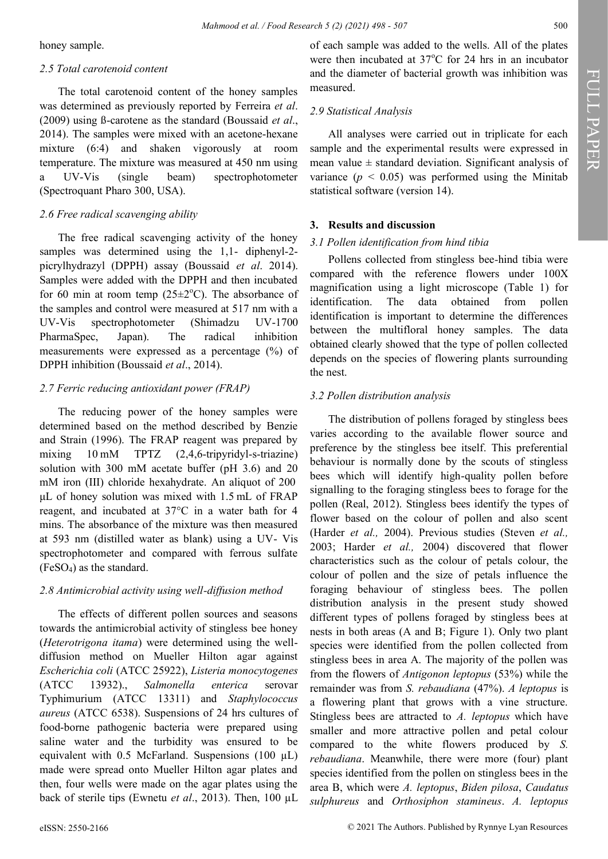honey sample.

### *2.5 Total carotenoid content*

The total carotenoid content of the honey samples was determined as previously reported by Ferreira *et al*. (2009) using ß-carotene as the standard (Boussaid *et al*., 2014). The samples were mixed with an acetone-hexane mixture (6:4) and shaken vigorously at room temperature. The mixture was measured at 450 nm using a UV-Vis (single beam) spectrophotometer (Spectroquant Pharo 300, USA).

### *2.6 Free radical scavenging ability*

The free radical scavenging activity of the honey samples was determined using the 1,1- diphenyl-2picrylhydrazyl (DPPH) assay (Boussaid *et al*. 2014). Samples were added with the DPPH and then incubated for 60 min at room temp  $(25\pm2$ °C). The absorbance of the samples and control were measured at 517 nm with a UV-Vis spectrophotometer (Shimadzu UV-1700 PharmaSpec, Japan). The radical inhibition measurements were expressed as a percentage (%) of DPPH inhibition (Boussaid *et al*., 2014).

### *2.7 Ferric reducing antioxidant power (FRAP)*

The reducing power of the honey samples were determined based on the method described by Benzie and Strain (1996). The FRAP reagent was prepared by mixing 10 mM TPTZ (2,4,6-tripyridyl-s-triazine) solution with 300 mM acetate buffer (pH 3.6) and 20 mM iron (III) chloride hexahydrate. An aliquot of 200  μL of honey solution was mixed with 1.5 mL of FRAP reagent, and incubated at 37°C in a water bath for 4 mins. The absorbance of the mixture was then measured at 593 nm (distilled water as blank) using a UV- Vis spectrophotometer and compared with ferrous sulfate  $(FeSO<sub>4</sub>)$  as the standard.

# *2.8 Antimicrobial activity using well-diffusion method*

The effects of different pollen sources and seasons towards the antimicrobial activity of stingless bee honey (*Heterotrigona itama*) were determined using the welldiffusion method on Mueller Hilton agar against *Escherichia coli* (ATCC 25922), *Listeria monocytogenes* (ATCC 13932)., *Salmonella enterica* serovar Typhimurium (ATCC 13311) and *Staphylococcus aureus* (ATCC 6538). Suspensions of 24 hrs cultures of food-borne pathogenic bacteria were prepared using saline water and the turbidity was ensured to be equivalent with 0.5 McFarland. Suspensions (100  $\mu$ L) made were spread onto Mueller Hilton agar plates and then, four wells were made on the agar plates using the back of sterile tips (Ewnetu *et al*., 2013). Then, 100 µL

of each sample was added to the wells. All of the plates were then incubated at  $37^{\circ}$ C for 24 hrs in an incubator and the diameter of bacterial growth was inhibition was measured.

# *2.9 Statistical Analysis*

All analyses were carried out in triplicate for each sample and the experimental results were expressed in mean value  $\pm$  standard deviation. Significant analysis of variance  $(p < 0.05)$  was performed using the Minitab statistical software (version 14).

# **3. Results and discussion**

### *3.1 Pollen identification from hind tibia*

Pollens collected from stingless bee*-*hind tibia were compared with the reference flowers under 100X magnification using a light microscope (Table 1) for identification. The data obtained from pollen identification is important to determine the differences between the multifloral honey samples. The data obtained clearly showed that the type of pollen collected depends on the species of flowering plants surrounding the nest.

# *3.2 Pollen distribution analysis*

The distribution of pollens foraged by stingless bees varies according to the available flower source and preference by the stingless bee itself. This preferential behaviour is normally done by the scouts of stingless bees which will identify high-quality pollen before signalling to the foraging stingless bees to forage for the pollen (Real, 2012). Stingless bees identify the types of flower based on the colour of pollen and also scent (Harder *et al.,* 2004). Previous studies (Steven *et al.,*  2003; Harder *et al.,* 2004) discovered that flower characteristics such as the colour of petals colour, the colour of pollen and the size of petals influence the foraging behaviour of stingless bees. The pollen distribution analysis in the present study showed different types of pollens foraged by stingless bees at nests in both areas (A and B; Figure 1). Only two plant species were identified from the pollen collected from stingless bees in area A. The majority of the pollen was from the flowers of *Antigonon leptopus* (53%) while the remainder was from *S. rebaudiana* (47%). *A leptopus* is a flowering plant that grows with a vine structure. Stingless bees are attracted to *A. leptopus* which have smaller and more attractive pollen and petal colour compared to the white flowers produced by *S. rebaudiana*. Meanwhile, there were more (four) plant species identified from the pollen on stingless bees in the area B, which were *A. leptopus*, *Biden pilosa*, *Caudatus sulphureus* and *Orthosiphon stamineus*. *A. leptopus*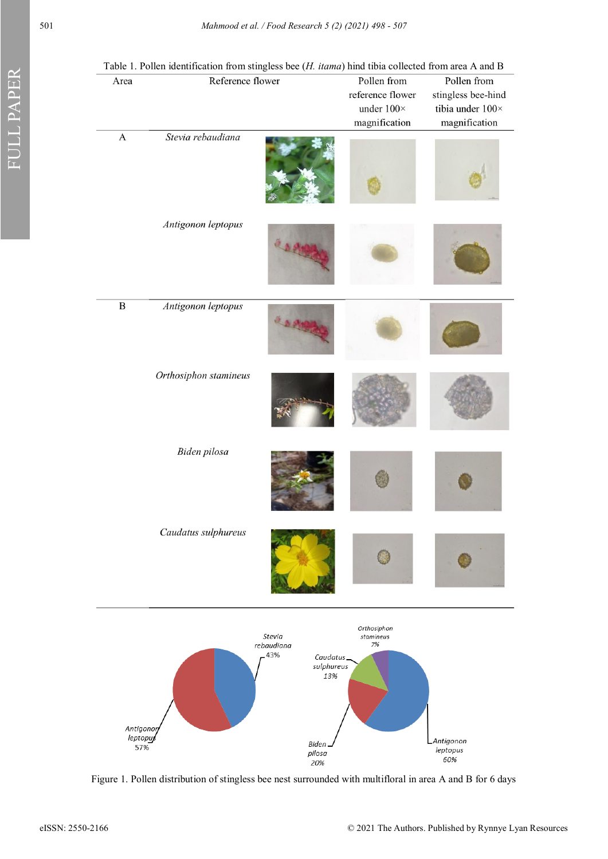| Area                        | Table 1. I onen kiemintation from stingless occ (11. <i>numa)</i> film tioni concetta from area <i>i</i> cana <i>D</i><br>Reference flower |                                                              | Pollen from<br>reference flower<br>under $100\times$<br>magnification | Pollen from<br>stingless bee-hind<br>tibia under $100 \times$<br>magnification |
|-----------------------------|--------------------------------------------------------------------------------------------------------------------------------------------|--------------------------------------------------------------|-----------------------------------------------------------------------|--------------------------------------------------------------------------------|
| $\mathbf A$                 | Stevia rebaudiana                                                                                                                          |                                                              |                                                                       |                                                                                |
|                             | Antigonon leptopus                                                                                                                         | O D AMAR                                                     |                                                                       |                                                                                |
| $\, {\bf B}$                | Antigonon leptopus                                                                                                                         | O D PING                                                     |                                                                       |                                                                                |
|                             | Orthosiphon stamineus                                                                                                                      |                                                              |                                                                       |                                                                                |
|                             | Biden pilosa                                                                                                                               |                                                              |                                                                       |                                                                                |
|                             | Caudatus sulphureus                                                                                                                        |                                                              |                                                                       |                                                                                |
|                             |                                                                                                                                            | Stevia<br>rebaudiana<br>43%<br>Caudatus<br>sulphureus<br>13% | Orthosiphon<br>stamineus<br>7%                                        |                                                                                |
| Antigonor<br>leptopu<br>57% |                                                                                                                                            | Biden.<br>pilosa<br>20%                                      |                                                                       | Antigonon<br>leptopus<br>60%                                                   |

Table 1. Pollen identification from stingless bee (*H. itama*) hind tibia collected from area A and B

Figure 1. Pollen distribution of stingless bee nest surrounded with multifloral in area A and B for 6 days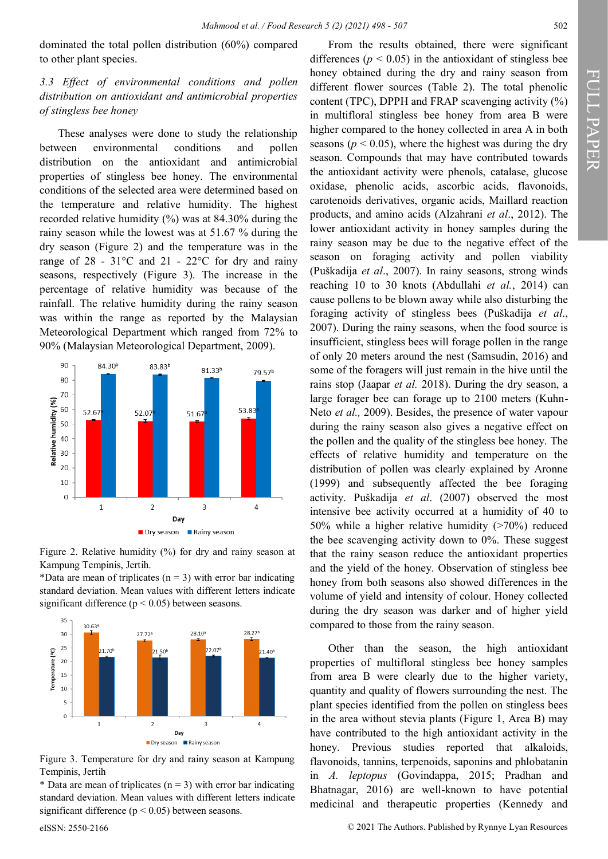dominated the total pollen distribution (60%) compared to other plant species.

### *3.3 Effect of environmental conditions and pollen distribution on antioxidant and antimicrobial properties of stingless bee honey*

These analyses were done to study the relationship between environmental conditions and pollen distribution on the antioxidant and antimicrobial properties of stingless bee honey. The environmental conditions of the selected area were determined based on the temperature and relative humidity. The highest recorded relative humidity (%) was at 84.30% during the rainy season while the lowest was at 51.67 % during the dry season (Figure 2) and the temperature was in the range of 28 - 31°C and 21 - 22°C for dry and rainy seasons, respectively (Figure 3). The increase in the percentage of relative humidity was because of the rainfall. The relative humidity during the rainy season was within the range as reported by the Malaysian Meteorological Department which ranged from 72% to 90% (Malaysian Meteorological Department, 2009).



Figure 2. Relative humidity (%) for dry and rainy season at Kampung Tempinis, Jertih.

\*Data are mean of triplicates ( $n = 3$ ) with error bar indicating standard deviation. Mean values with different letters indicate significant difference ( $p < 0.05$ ) between seasons.



Figure 3. Temperature for dry and rainy season at Kampung Tempinis, Jertih

\* Data are mean of triplicates ( $n = 3$ ) with error bar indicating standard deviation. Mean values with different letters indicate significant difference ( $p < 0.05$ ) between seasons.

From the results obtained, there were significant differences ( $p < 0.05$ ) in the antioxidant of stingless bee honey obtained during the dry and rainy season from different flower sources (Table 2). The total phenolic content (TPC), DPPH and FRAP scavenging activity (%) in multifloral stingless bee honey from area B were higher compared to the honey collected in area A in both

seasons ( $p < 0.05$ ), where the highest was during the dry season. Compounds that may have contributed towards the antioxidant activity were phenols, catalase, glucose oxidase, phenolic acids, ascorbic acids, flavonoids, carotenoids derivatives, organic acids, Maillard reaction products, and amino acids (Alzahrani *et al*., 2012). The lower antioxidant activity in honey samples during the rainy season may be due to the negative effect of the season on foraging activity and pollen viability (Puškadija *et al*., 2007). In rainy seasons, strong winds reaching 10 to 30 knots (Abdullahi *et al.*, 2014) can cause pollens to be blown away while also disturbing the foraging activity of stingless bees (Puškadija *et al*., 2007). During the rainy seasons, when the food source is insufficient, stingless bees will forage pollen in the range of only 20 meters around the nest (Samsudin, 2016) and some of the foragers will just remain in the hive until the rains stop (Jaapar *et al.* 2018). During the dry season, a large forager bee can forage up to 2100 meters (Kuhn-Neto *et al.,* 2009). Besides, the presence of water vapour during the rainy season also gives a negative effect on the pollen and the quality of the stingless bee honey. The effects of relative humidity and temperature on the distribution of pollen was clearly explained by Aronne (1999) and subsequently affected the bee foraging activity. Puškadija *et al*. (2007) observed the most intensive bee activity occurred at a humidity of 40 to 50% while a higher relative humidity (>70%) reduced the bee scavenging activity down to 0%. These suggest that the rainy season reduce the antioxidant properties and the yield of the honey. Observation of stingless bee honey from both seasons also showed differences in the volume of yield and intensity of colour. Honey collected during the dry season was darker and of higher yield compared to those from the rainy season.

Other than the season, the high antioxidant properties of multifloral stingless bee honey samples from area B were clearly due to the higher variety, quantity and quality of flowers surrounding the nest. The plant species identified from the pollen on stingless bees in the area without stevia plants (Figure 1, Area B) may have contributed to the high antioxidant activity in the honey. Previous studies reported that alkaloids, flavonoids, tannins, terpenoids, saponins and phlobatanin in *A. leptopus* (Govindappa, 2015; Pradhan and Bhatnagar, 2016) are well-known to have potential medicinal and therapeutic properties (Kennedy and

FULL PAPER

FULL PAPER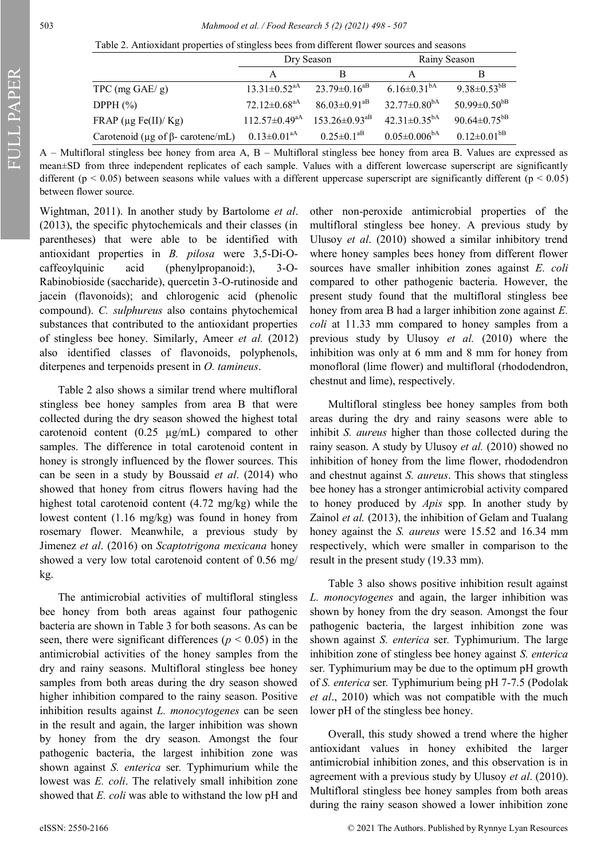|                                                                  | Dry Season                     |                                | Rainy Season                   |                                |
|------------------------------------------------------------------|--------------------------------|--------------------------------|--------------------------------|--------------------------------|
|                                                                  |                                |                                | A                              | B                              |
| TPC $(mg \text{ GAE}/g)$                                         | $13.31 \pm 0.52$ <sup>aA</sup> | $23.79 \pm 0.16^{aB}$          | $6.16 \pm 0.31^{\text{bA}}$    | 9.38 $\pm$ 0.53 <sup>bB</sup>  |
| DPPH $(\%)$                                                      | $72.12 \pm 0.68^{\text{aA}}$   | $86.03 \pm 0.91$ <sup>aB</sup> | $32.77 \pm 0.80$ <sup>bA</sup> | $50.99 \pm 0.50$ <sup>bB</sup> |
| FRAP ( $\mu$ g Fe(II)/ Kg)                                       | $112.57 \pm 0.49^{\text{aA}}$  | $153.26 \pm 0.93 ^{\rm aB}$    | $42.31 \pm 0.35^{bA}$          | 90.64 $\pm$ 0.75 <sup>bB</sup> |
| Carotenoid (µg of $\beta$ - carotene/mL) 0.13±0.01 <sup>aA</sup> |                                | $0.25 \pm 0.1^\mathrm{aB}$     | $0.05 \pm 0.006^{\rm bA}$      | $0.12 \pm 0.01$ <sup>bB</sup>  |

A – Multifloral stingless bee honey from area A, B – Multifloral stingless bee honey from area B. Values are expressed as mean±SD from three independent replicates of each sample. Values with a different lowercase superscript are significantly different ( $p < 0.05$ ) between seasons while values with a different uppercase superscript are significantly different ( $p < 0.05$ ) between flower source.

Wightman, 2011). In another study by Bartolome *et al*. (2013), the specific phytochemicals and their classes (in parentheses) that were able to be identified with antioxidant properties in *B. pilosa* were 3,5-Di-Ocaffeoylquinic acid (phenylpropanoid:), 3-O-Rabinobioside (saccharide), quercetin 3-O-rutinoside and jacein (flavonoids); and chlorogenic acid (phenolic compound). *C. sulphureus* also contains phytochemical substances that contributed to the antioxidant properties of stingless bee honey. Similarly, Ameer *et al.* (2012) also identified classes of flavonoids, polyphenols, diterpenes and terpenoids present in *O. tamineus*.

Table 2 also shows a similar trend where multifloral stingless bee honey samples from area B that were collected during the dry season showed the highest total carotenoid content (0.25 µg/mL) compared to other samples. The difference in total carotenoid content in honey is strongly influenced by the flower sources. This can be seen in a study by Boussaid *et al*. (2014) who showed that honey from citrus flowers having had the highest total carotenoid content (4.72 mg/kg) while the lowest content (1.16 mg/kg) was found in honey from rosemary flower. Meanwhile, a previous study by Jimenez *et al*. (2016) on *Scaptotrigona mexicana* honey showed a very low total carotenoid content of 0.56 mg/ kg.

The antimicrobial activities of multifloral stingless bee honey from both areas against four pathogenic bacteria are shown in Table 3 for both seasons. As can be seen, there were significant differences ( $p < 0.05$ ) in the antimicrobial activities of the honey samples from the dry and rainy seasons. Multifloral stingless bee honey samples from both areas during the dry season showed higher inhibition compared to the rainy season. Positive inhibition results against *L. monocytogenes* can be seen in the result and again, the larger inhibition was shown by honey from the dry season. Amongst the four pathogenic bacteria, the largest inhibition zone was shown against *S. enterica* ser*.* Typhimurium while the lowest was *E. coli*. The relatively small inhibition zone showed that *E. coli* was able to withstand the low pH and

other non-peroxide antimicrobial properties of the multifloral stingless bee honey. A previous study by Ulusoy *et al*. (2010) showed a similar inhibitory trend where honey samples bees honey from different flower sources have smaller inhibition zones against *E. coli*  compared to other pathogenic bacteria. However, the present study found that the multifloral stingless bee honey from area B had a larger inhibition zone against *E. coli* at 11.33 mm compared to honey samples from a previous study by Ulusoy *et al.* (2010) where the inhibition was only at 6 mm and 8 mm for honey from monofloral (lime flower) and multifloral (rhododendron, chestnut and lime), respectively.

Multifloral stingless bee honey samples from both areas during the dry and rainy seasons were able to inhibit *S. aureus* higher than those collected during the rainy season. A study by Ulusoy *et al.* (2010) showed no inhibition of honey from the lime flower, rhododendron and chestnut against *S. aureus*. This shows that stingless bee honey has a stronger antimicrobial activity compared to honey produced by *Apis* spp*.* In another study by Zainol *et al.* (2013), the inhibition of Gelam and Tualang honey against the *S. aureus* were 15.52 and 16.34 mm respectively, which were smaller in comparison to the result in the present study (19.33 mm).

Table 3 also shows positive inhibition result against *L. monocytogenes* and again, the larger inhibition was shown by honey from the dry season. Amongst the four pathogenic bacteria, the largest inhibition zone was shown against *S. enterica* ser*.* Typhimurium. The large inhibition zone of stingless bee honey against *S. enterica*  ser*.* Typhimurium may be due to the optimum pH growth of *S. enterica* ser*.* Typhimurium being pH 7-7.5 (Podolak *et al*., 2010) which was not compatible with the much lower pH of the stingless bee honey.

Overall, this study showed a trend where the higher antioxidant values in honey exhibited the larger antimicrobial inhibition zones, and this observation is in agreement with a previous study by Ulusoy *et al*. (2010). Multifloral stingless bee honey samples from both areas during the rainy season showed a lower inhibition zone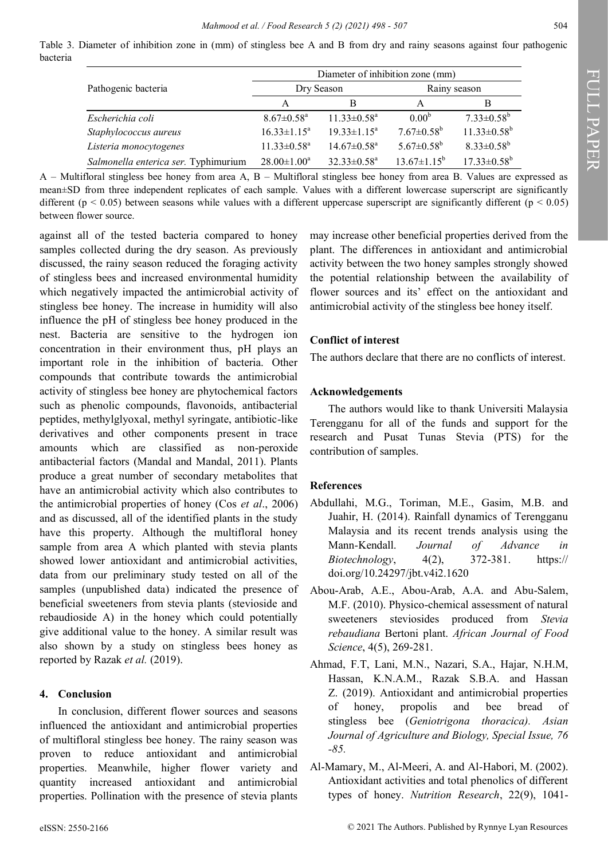Table 3. Diameter of inhibition zone in (mm) of stingless bee A and B from dry and rainy seasons against four pathogenic bacteria

|                                      | Diameter of inhibition zone (mm) |                               |                              |                          |  |
|--------------------------------------|----------------------------------|-------------------------------|------------------------------|--------------------------|--|
| Pathogenic bacteria                  | Dry Season                       |                               | Rainy season                 |                          |  |
|                                      | A                                | В                             | A                            | В                        |  |
| Escherichia coli                     | $8.67 \pm 0.58$ <sup>a</sup>     | $11.33 \pm 0.58$ <sup>a</sup> | $0.00^{6}$                   | $7.33 \pm 0.58^b$        |  |
| Staphylococcus aureus                | $16.33 \pm 1.15^a$               | $19.33 \pm 1.15^a$            | $7.67 \pm 0.58^b$            | $11.33 \pm 0.58^b$       |  |
| Listeria monocytogenes               | $11.33 \pm 0.58$ <sup>a</sup>    | $14.67 \pm 0.58$ <sup>a</sup> | $5.67 \pm 0.58$ <sup>b</sup> | $8.33 \pm 0.58^b$        |  |
| Salmonella enterica ser. Typhimurium | $28.00 \pm 1.00^a$               | $32.33 \pm 0.58^a$            | $13.67 \pm 1.15^b$           | $17.33 \pm 0.58^{\rm b}$ |  |

A – Multifloral stingless bee honey from area A, B – Multifloral stingless bee honey from area B. Values are expressed as mean±SD from three independent replicates of each sample. Values with a different lowercase superscript are significantly different ( $p < 0.05$ ) between seasons while values with a different uppercase superscript are significantly different ( $p < 0.05$ ) between flower source.

against all of the tested bacteria compared to honey samples collected during the dry season. As previously discussed, the rainy season reduced the foraging activity of stingless bees and increased environmental humidity which negatively impacted the antimicrobial activity of stingless bee honey. The increase in humidity will also influence the pH of stingless bee honey produced in the nest. Bacteria are sensitive to the hydrogen ion concentration in their environment thus, pH plays an important role in the inhibition of bacteria. Other compounds that contribute towards the antimicrobial activity of stingless bee honey are phytochemical factors such as phenolic compounds, flavonoids, antibacterial peptides, methylglyoxal, methyl syringate, antibiotic-like derivatives and other components present in trace amounts which are classified as non-peroxide antibacterial factors (Mandal and Mandal, 2011). Plants produce a great number of secondary metabolites that have an antimicrobial activity which also contributes to the antimicrobial properties of honey (Cos *et al*., 2006) and as discussed, all of the identified plants in the study have this property. Although the multifloral honey sample from area A which planted with stevia plants showed lower antioxidant and antimicrobial activities, data from our preliminary study tested on all of the samples (unpublished data) indicated the presence of beneficial sweeteners from stevia plants (stevioside and rebaudioside A) in the honey which could potentially give additional value to the honey. A similar result was also shown by a study on stingless bees honey as reported by Razak *et al.* (2019).

### **4. Conclusion**

In conclusion, different flower sources and seasons influenced the antioxidant and antimicrobial properties of multifloral stingless bee honey. The rainy season was proven to reduce antioxidant and antimicrobial properties. Meanwhile, higher flower variety and quantity increased antioxidant and antimicrobial properties. Pollination with the presence of stevia plants

may increase other beneficial properties derived from the plant. The differences in antioxidant and antimicrobial activity between the two honey samples strongly showed the potential relationship between the availability of flower sources and its' effect on the antioxidant and antimicrobial activity of the stingless bee honey itself.

### **Conflict of interest**

The authors declare that there are no conflicts of interest.

### **Acknowledgements**

The authors would like to thank Universiti Malaysia Terengganu for all of the funds and support for the research and Pusat Tunas Stevia (PTS) for the contribution of samples.

# **References**

- Abdullahi, M.G., Toriman, M.E., Gasim, M.B. and Juahir, H. (2014). Rainfall dynamics of Terengganu Malaysia and its recent trends analysis using the Mann-Kendall. *Journal of Advance in Biotechnology*, 4(2), 372-381. https:// [doi.org/10.24297/jbt.v4i2.1620](https://doi.org/10.24297/jbt.v4i2.1620)
- Abou-Arab, A.E., Abou-Arab, A.A. and Abu-Salem, M.F. (2010). Physico-chemical assessment of natural sweeteners steviosides produced from *Stevia rebaudiana* Bertoni plant. *African Journal of Food Science*, 4(5), 269-281.
- Ahmad, F.T, Lani, M.N., Nazari, S.A., Hajar, N.H.M, Hassan, K.N.A.M., Razak S.B.A. and Hassan Z. (2019). Antioxidant and antimicrobial properties of honey, propolis and bee bread of stingless bee (*Geniotrigona thoracica). Asian Journal of Agriculture and Biology, Special Issue, 76 -85.*
- Al-Mamary, M., Al-Meeri, A. and Al-Habori, M. (2002). Antioxidant activities and total phenolics of different types of honey. *Nutrition Research*, 22(9), 1041-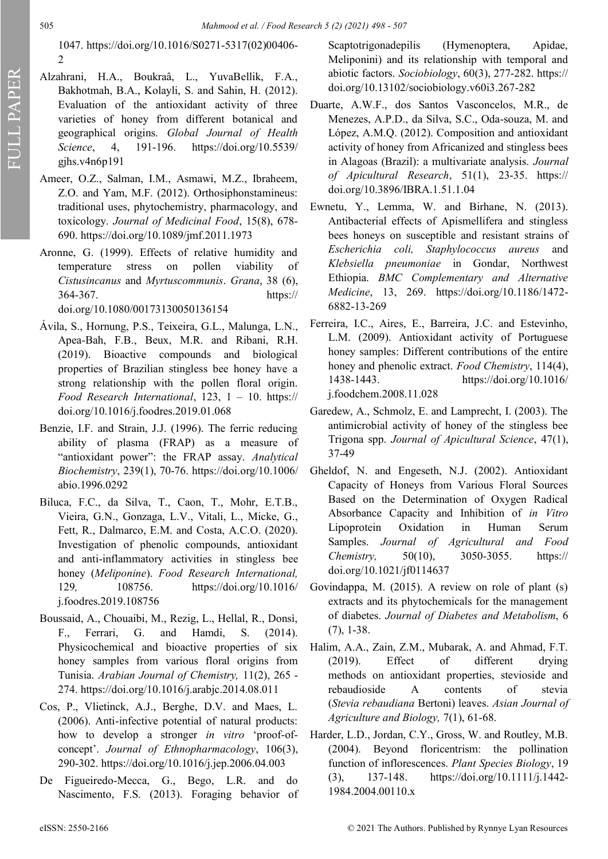1047. [https://doi.org/10.1016/S0271](https://doi.org/10.1016/S0271-5317(02)00406-2)-5317(02)00406- [2](https://doi.org/10.1016/S0271-5317(02)00406-2)

- Alzahrani, H.A., Boukraâ, L., YuvaBellik, F.A., Bakhotmah, B.A., Kolayli, S. and Sahin, H. (2012). Evaluation of the antioxidant activity of three varieties of honey from different botanical and geographical origins. *Global Journal of Health Science*, 4, 191-196. [https://doi.org/10.5539/](https://doi.org/10.5539/gjhs.v4n6p191) [gjhs.v4n6p191](https://doi.org/10.5539/gjhs.v4n6p191)
- Ameer, O.Z., Salman, I.M., Asmawi, M.Z., Ibraheem, Z.O. and Yam, M.F. (2012). Orthosiphonstamineus: traditional uses, phytochemistry, pharmacology, and toxicology. *Journal of Medicinal Food*, 15(8), 678- 690. <https://doi.org/10.1089/jmf.2011.1973>
- Aronne, G. (1999). Effects of relative humidity and temperature stress on pollen viability of *Cistusincanus* and *Myrtuscommunis*. *Grana*, 38 (6), 364-367. [https://](https://doi.org/10.1080/00173130050136154) [doi.org/10.1080/00173130050136154](https://doi.org/10.1080/00173130050136154)
- Ávila, S., Hornung, P.S., Teixeira, G.L., Malunga, L.N., Apea-Bah, F.B., Beux, M.R. and Ribani, R.H. (2019). Bioactive compounds and biological properties of Brazilian stingless bee honey have a strong relationship with the pollen floral origin. *Food Research International*, 123, 1 – 10. [https://](https://doi.org/10.1016/j.foodres.2019.01.068) [doi.org/10.1016/j.foodres.2019.01.068](https://doi.org/10.1016/j.foodres.2019.01.068)
- Benzie, I.F. and Strain, J.J. (1996). The ferric reducing ability of plasma (FRAP) as a measure of "antioxidant power": the FRAP assay. *Analytical Biochemistry*, 239(1), 70-76. [https://doi.org/10.1006/](https://doi.org/10.1006/abio.1996.0292) [abio.1996.0292](https://doi.org/10.1006/abio.1996.0292)
- Biluca, F.C., da Silva, T., Caon, T., Mohr, E.T.B., Vieira, G.N., Gonzaga, L.V., Vitali, L., Micke, G., Fett, R., Dalmarco, E.M. and Costa, A.C.O. (2020). Investigation of phenolic compounds, antioxidant and anti-inflammatory activities in stingless bee honey (*Meliponine*). *Food Research International,*  129*,* 108756. [https://doi.org/10.1016/](https://doi.org/10.1016/j.foodres.2019.108756) [j.foodres.2019.108756](https://doi.org/10.1016/j.foodres.2019.108756)
- Boussaid, A., Chouaibi, M., Rezig, L., Hellal, R., Donsì, F., Ferrari, G. and Hamdi, S. (2014). Physicochemical and bioactive properties of six honey samples from various floral origins from Tunisia. *Arabian Journal of Chemistry,* 11(2), 265 - 274. <https://doi.org/10.1016/j.arabjc.2014.08.011>
- Cos, P., Vlietinck, A.J., Berghe, D.V. and Maes, L. (2006). Anti-infective potential of natural products: how to develop a stronger *in vitro* 'proof-ofconcept'. *Journal of Ethnopharmacology*, 106(3), 290-302.<https://doi.org/10.1016/j.jep.2006.04.003>
- De Figueiredo-Mecca, G., Bego, L.R. and do Nascimento, F.S. (2013). Foraging behavior of

Scaptotrigonadepilis (Hymenoptera, Apidae, Meliponini) and its relationship with temporal and abiotic factors. *Sociobiology*, 60(3), 277-282. https:// [doi.org/10.13102/sociobiology.v60i3.267](https://doi.org/10.13102/sociobiology.v60i3.267-282)-282

- Duarte, A.W.F., dos Santos Vasconcelos, M.R., de Menezes, A.P.D., da Silva, S.C., Oda-souza, M. and López, A.M.Q. (2012). Composition and antioxidant activity of honey from Africanized and stingless bees in Alagoas (Brazil): a multivariate analysis. *Journal of Apicultural Research*, 51(1), 23-35. https:// [doi.org/10.3896/IBRA.1.51.1.04](https://doi.org/10.3896/IBRA.1.51.1.04)
- Ewnetu, Y., Lemma, W. and Birhane, N. (2013). Antibacterial effects of Apismellifera and stingless bees honeys on susceptible and resistant strains of *Escherichia coli, Staphylococcus aureus* and *Klebsiella pneumoniae* in Gondar, Northwest Ethiopia. *BMC Complementary and Alternative Medicine*, 13, 269. [https://doi.org/10.1186/1472](https://doi.org/10.1186/1472-6882-13-269)- [6882](https://doi.org/10.1186/1472-6882-13-269)-13-269
- Ferreira, I.C., Aires, E., Barreira, J.C. and Estevinho, L.M. (2009). Antioxidant activity of Portuguese honey samples: Different contributions of the entire honey and phenolic extract. *Food Chemistry*, 114(4), 1438-1443. [https://doi.org/10.1016/](https://doi.org/10.1016/j.foodchem.2008.11.028) [j.foodchem.2008.11.028](https://doi.org/10.1016/j.foodchem.2008.11.028)
- Garedew, A., Schmolz, E. and Lamprecht, I. (2003). The antimicrobial activity of honey of the stingless bee Trigona spp. *Journal of Apicultural Science*, 47(1), 37-49
- Gheldof, N. and Engeseth, N.J. (2002). Antioxidant Capacity of Honeys from Various Floral Sources Based on the Determination of Oxygen Radical Absorbance Capacity and Inhibition of *in Vitro* Lipoprotein Oxidation in Human Serum Samples. *Journal of Agricultural and Food Chemistry,* 50(10), 3050-3055. https:// [doi.org/10.1021/jf0114637](https://doi.org/10.1021/jf0114637)
- Govindappa, M. (2015). A review on role of plant (s) extracts and its phytochemicals for the management of diabetes. *Journal of Diabetes and Metabolism*, 6 (7), 1-38.
- Halim, A.A., Zain, Z.M., Mubarak, A. and Ahmad, F.T. (2019). Effect of different drying methods on antioxidant properties, stevioside and rebaudioside A contents of stevia (*Stevia rebaudiana* Bertoni) leaves. *Asian Journal of Agriculture and Biology,* 7(1), 61-68.
- Harder, L.D., Jordan, C.Y., Gross, W. and Routley, M.B. (2004). Beyond floricentrism: the pollination function of inflorescences. *Plant Species Biology*, 19 (3), 137-148. [https://doi.org/10.1111/j.1442](https://doi.org/10.1111/j.1442-1984.2004.00110.x)- [1984.2004.00110.x](https://doi.org/10.1111/j.1442-1984.2004.00110.x)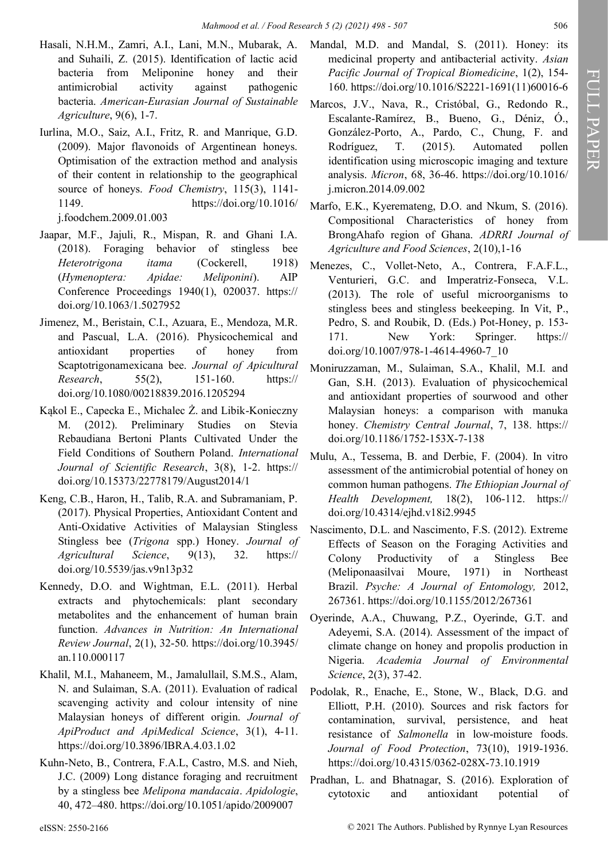- Hasali, N.H.M., Zamri, A.I., Lani, M.N., Mubarak, A. and Suhaili, Z. (2015). Identification of lactic acid bacteria from Meliponine honey and their antimicrobial activity against pathogenic bacteria. *American-Eurasian Journal of Sustainable Agriculture*, 9(6), 1-7.
- Iurlina, M.O., Saiz, A.I., Fritz, R. and Manrique, G.D. (2009). Major flavonoids of Argentinean honeys. Optimisation of the extraction method and analysis of their content in relationship to the geographical source of honeys. *Food Chemistry*, 115(3), 1141- 1149. [https://doi.org/10.1016/](https://doi.org/10.1016/j.foodchem.2009.01.003) [j.foodchem.2009.01.003](https://doi.org/10.1016/j.foodchem.2009.01.003)
- Jaapar, M.F., Jajuli, R., Mispan, R. and Ghani I.A. (2018). Foraging behavior of stingless bee *Heterotrigona itama* (Cockerell, 1918) (*Hymenoptera: Apidae: Meliponini*). AIP Conference Proceedings 1940(1), 020037. [https://](https://doi.org/10.1063/1.5027952) [doi.org/10.1063/1.5027952](https://doi.org/10.1063/1.5027952)
- Jimenez, M., Beristain, C.I., Azuara, E., Mendoza, M.R. and Pascual, L.A. (2016). Physicochemical and antioxidant properties of honey from Scaptotrigonamexicana bee. *Journal of Apicultural Research*, 55(2), 151-160. https:// [doi.org/10.1080/00218839.2016.1205294](https://doi.org/10.1080/00218839.2016.1205294)
- Kąkol E., Capecka E., Michalec Ż. and Libik-Konieczny M. (2012). Preliminary Studies on Stevia Rebaudiana Bertoni Plants Cultivated Under the Field Conditions of Southern Poland. *International Journal of Scientific Research*, 3(8), 1-2. https:// [doi.org/10.15373/22778179/August2014/1](https://doi.org/10.15373/22778179/August2014/1)
- Keng, C.B., Haron, H., Talib, R.A. and Subramaniam, P. (2017). Physical Properties, Antioxidant Content and Anti-Oxidative Activities of Malaysian Stingless Stingless bee (*Trigona* spp.) Honey. *Journal of Agricultural Science*, 9(13), 32. [https://](https://doi.org/10.5539/jas.v9n13p32) [doi.org/10.5539/jas.v9n13p32](https://doi.org/10.5539/jas.v9n13p32)
- Kennedy, D.O. and Wightman, E.L. (2011). Herbal extracts and phytochemicals: plant secondary metabolites and the enhancement of human brain function. *Advances in Nutrition: An International Review Journal*, 2(1), 32-50. [https://doi.org/10.3945/](https://doi.org/10.3945/an.110.000117) [an.110.000117](https://doi.org/10.3945/an.110.000117)
- Khalil, M.I., Mahaneem, M., Jamalullail, S.M.S., Alam, N. and Sulaiman, S.A. (2011). Evaluation of radical scavenging activity and colour intensity of nine Malaysian honeys of different origin. *Journal of ApiProduct and ApiMedical Science*, 3(1), 4-11. <https://doi.org/10.3896/IBRA.4.03.1.02>
- Kuhn-Neto, B., Contrera, F.A.L, Castro, M.S. and Nieh, J.C. (2009) Long distance foraging and recruitment by a stingless bee *Melipona mandacaia*. *Apidologie*, 40, 472–480. <https://doi.org/10.1051/apido/2009007>
- Mandal, M.D. and Mandal, S. (2011). Honey: its medicinal property and antibacterial activity. *Asian Pacific Journal of Tropical Biomedicine*, 1(2), 154- 160. [https://doi.org/10.1016/S2221](https://doi.org/10.1016/S2221-1691(11)60016-6)-1691(11)60016-6
- Marcos, J.V., Nava, R., Cristóbal, G., Redondo R., Escalante-Ramírez, B., Bueno, G., Déniz, Ó., González-Porto, A., Pardo, C., Chung, F. and Rodríguez, T. (2015). Automated pollen identification using microscopic imaging and texture analysis. *Micron*, 68, 36-46. [https://doi.org/10.1016/](https://doi.org/10.1016/j.micron.2014.09.002) [j.micron.2014.09.002](https://doi.org/10.1016/j.micron.2014.09.002)
- Marfo, E.K., Kyeremateng, D.O. and Nkum, S. (2016). Compositional Characteristics of honey from BrongAhafo region of Ghana. *ADRRI Journal of Agriculture and Food Sciences*, 2(10),1-16
- Menezes, C., Vollet-Neto, A., Contrera, F.A.F.L., Venturieri, G.C. and Imperatriz-Fonseca, V.L. (2013). The role of useful microorganisms to stingless bees and stingless beekeeping. In Vit, P., Pedro, S. and Roubik, D. (Eds.) Pot-Honey, p. 153- 171. New York: Springer. [https://](https://doi.org/10.1007/978-1-4614-4960-7_10) [doi.org/10.1007/978](https://doi.org/10.1007/978-1-4614-4960-7_10)-1-4614-4960-7\_10
- Moniruzzaman, M., Sulaiman, S.A., Khalil, M.I. and Gan, S.H. (2013). Evaluation of physicochemical and antioxidant properties of sourwood and other Malaysian honeys: a comparison with manuka honey. *Chemistry Central Journal*, 7, 138. [https://](https://doi.org/10.1186/1752-153X-7-138) [doi.org/10.1186/1752](https://doi.org/10.1186/1752-153X-7-138)-153X-7-138
- Mulu, A., Tessema, B. and Derbie, F. (2004). In vitro assessment of the antimicrobial potential of honey on common human pathogens. *The Ethiopian Journal of Health Development,* 18(2), 106-112. https:// [doi.org/10.4314/ejhd.v18i2.9945](https://doi.org/10.4314/ejhd.v18i2.9945)
- Nascimento, D.L. and Nascimento, F.S. (2012). Extreme Effects of Season on the Foraging Activities and Colony Productivity of a Stingless Bee (Meliponaasilvai Moure, 1971) in Northeast Brazil. *Psyche: A Journal of Entomology,* 2012, 267361.<https://doi.org/10.1155/2012/267361>
- Oyerinde, A.A., Chuwang, P.Z., Oyerinde, G.T. and Adeyemi, S.A. (2014). Assessment of the impact of climate change on honey and propolis production in Nigeria. *Academia Journal of Environmental Science*, 2(3), 37-42.
- Podolak, R., Enache, E., Stone, W., Black, D.G. and Elliott, P.H. (2010). Sources and risk factors for contamination, survival, persistence, and heat resistance of *Salmonella* in low-moisture foods. *Journal of Food Protection*, 73(10), 1919-1936. [https://doi.org/10.4315/0362](https://doi.org/10.4315/0362-028X-73.10.1919)-028X-73.10.1919
- Pradhan, L. and Bhatnagar, S. (2016). Exploration of cytotoxic and antioxidant potential of